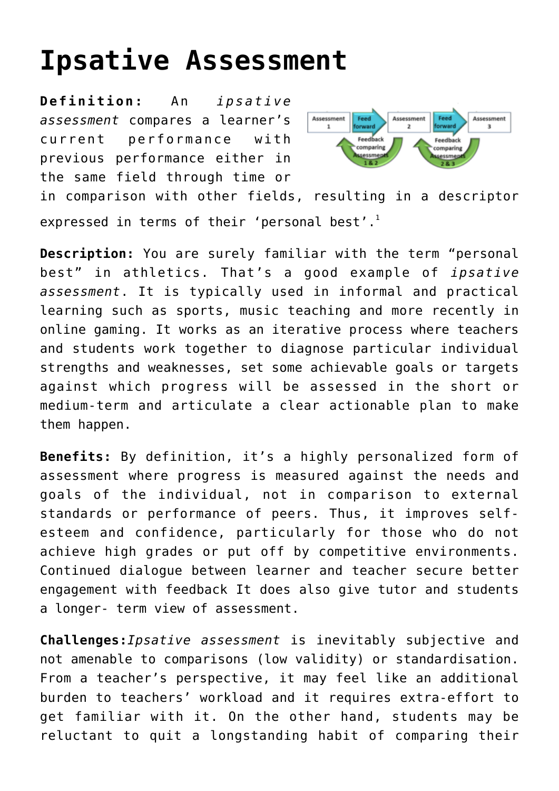## **[Ipsative Assessment](http://entreassess.com/2017/03/14/ipsative-assessment/)**

**Definition:** An *ipsative assessment* compares a learner's current performance with previous performance either in the same field through time or



in comparison with other fields, resulting in a descriptor expressed in terms of their 'personal best'.<sup>1</sup>

**Description:** You are surely familiar with the term "personal best" in athletics. That's a good example of *ipsative assessment*. It is typically used in informal and practical learning such as sports, music teaching and more recently in online gaming. It works as an iterative process where teachers and students work together to diagnose particular individual strengths and weaknesses, set some achievable goals or targets against which progress will be assessed in the short or medium-term and articulate a clear actionable plan to make them happen.

**Benefits:** By definition, it's a highly personalized form of assessment where progress is measured against the needs and goals of the individual, not in comparison to external standards or performance of peers. Thus, it improves selfesteem and confidence, particularly for those who do not achieve high grades or put off by competitive environments. Continued dialogue between learner and teacher secure better engagement with feedback It does also give tutor and students a longer- term view of assessment.

**Challenges:***Ipsative assessment* is inevitably subjective and not amenable to comparisons (low validity) or standardisation. From a teacher's perspective, it may feel like an additional burden to teachers' workload and it requires extra-effort to get familiar with it. On the other hand, students may be reluctant to quit a longstanding habit of comparing their